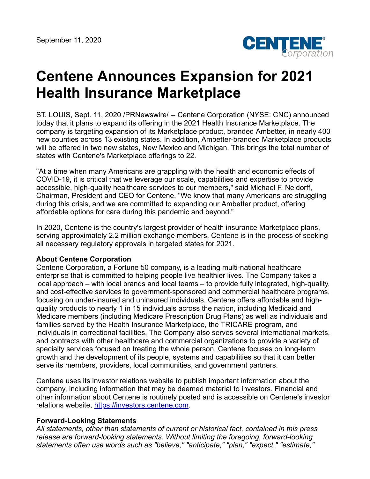

## **Centene Announces Expansion for 2021 Health Insurance Marketplace**

ST. LOUIS, Sept. 11, 2020 /PRNewswire/ -- Centene Corporation (NYSE: CNC) announced today that it plans to expand its offering in the 2021 Health Insurance Marketplace. The company is targeting expansion of its Marketplace product, branded Ambetter, in nearly 400 new counties across 13 existing states. In addition, Ambetter-branded Marketplace products will be offered in two new states, New Mexico and Michigan. This brings the total number of states with Centene's Marketplace offerings to 22.

"At a time when many Americans are grappling with the health and economic effects of COVID-19, it is critical that we leverage our scale, capabilities and expertise to provide accessible, high-quality healthcare services to our members," said Michael F. Neidorff, Chairman, President and CEO for Centene. "We know that many Americans are struggling during this crisis, and we are committed to expanding our Ambetter product, offering affordable options for care during this pandemic and beyond."

In 2020, Centene is the country's largest provider of health insurance Marketplace plans, serving approximately 2.2 million exchange members. Centene is in the process of seeking all necessary regulatory approvals in targeted states for 2021.

## **About Centene Corporation**

Centene Corporation, a Fortune 50 company, is a leading multi-national healthcare enterprise that is committed to helping people live healthier lives. The Company takes a local approach – with local brands and local teams – to provide fully integrated, high-quality, and cost-effective services to government-sponsored and commercial healthcare programs, focusing on under-insured and uninsured individuals. Centene offers affordable and highquality products to nearly 1 in 15 individuals across the nation, including Medicaid and Medicare members (including Medicare Prescription Drug Plans) as well as individuals and families served by the Health Insurance Marketplace, the TRICARE program, and individuals in correctional facilities. The Company also serves several international markets, and contracts with other healthcare and commercial organizations to provide a variety of specialty services focused on treating the whole person. Centene focuses on long-term growth and the development of its people, systems and capabilities so that it can better serve its members, providers, local communities, and government partners.

Centene uses its investor relations website to publish important information about the company, including information that may be deemed material to investors. Financial and other information about Centene is routinely posted and is accessible on Centene's investor relations website, [https://investors.centene.com](https://investors.centene.com/).

## **Forward-Looking Statements**

*All statements, other than statements of current or historical fact, contained in this press release are forward-looking statements. Without limiting the foregoing, forward-looking statements often use words such as "believe," "anticipate," "plan," "expect," "estimate,"*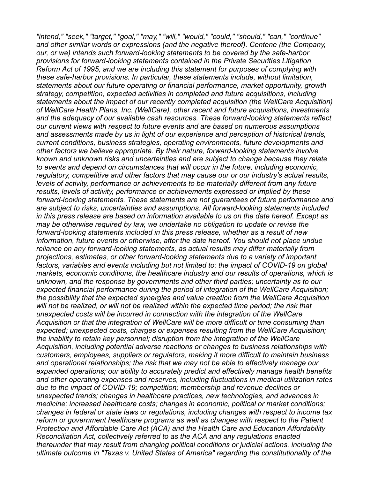*"intend," "seek," "target," "goal," "may," "will," "would," "could," "should," "can," "continue" and other similar words or expressions (and the negative thereof). Centene (the Company, our, or we) intends such forward-looking statements to be covered by the safe-harbor provisions for forward-looking statements contained in the Private Securities Litigation Reform Act of 1995, and we are including this statement for purposes of complying with these safe-harbor provisions. In particular, these statements include, without limitation, statements about our future operating or financial performance, market opportunity, growth strategy, competition, expected activities in completed and future acquisitions, including statements about the impact of our recently completed acquisition (the WellCare Acquisition) of WellCare Health Plans, Inc. (WellCare), other recent and future acquisitions, investments and the adequacy of our available cash resources. These forward-looking statements reflect our current views with respect to future events and are based on numerous assumptions and assessments made by us in light of our experience and perception of historical trends, current conditions, business strategies, operating environments, future developments and other factors we believe appropriate. By their nature, forward-looking statements involve known and unknown risks and uncertainties and are subject to change because they relate to events and depend on circumstances that will occur in the future, including economic, regulatory, competitive and other factors that may cause our or our industry's actual results, levels of activity, performance or achievements to be materially different from any future results, levels of activity, performance or achievements expressed or implied by these forward-looking statements. These statements are not guarantees of future performance and are subject to risks, uncertainties and assumptions. All forward-looking statements included in this press release are based on information available to us on the date hereof. Except as may be otherwise required by law, we undertake no obligation to update or revise the forward-looking statements included in this press release, whether as a result of new information, future events or otherwise, after the date hereof. You should not place undue reliance on any forward-looking statements, as actual results may differ materially from projections, estimates, or other forward-looking statements due to a variety of important factors, variables and events including but not limited to: the impact of COVID-19 on global markets, economic conditions, the healthcare industry and our results of operations, which is unknown, and the response by governments and other third parties; uncertainty as to our expected financial performance during the period of integration of the WellCare Acquisition; the possibility that the expected synergies and value creation from the WellCare Acquisition will not be realized, or will not be realized within the expected time period; the risk that unexpected costs will be incurred in connection with the integration of the WellCare Acquisition or that the integration of WellCare will be more difficult or time consuming than expected; unexpected costs, charges or expenses resulting from the WellCare Acquisition; the inability to retain key personnel; disruption from the integration of the WellCare Acquisition, including potential adverse reactions or changes to business relationships with customers, employees, suppliers or regulators, making it more difficult to maintain business and operational relationships; the risk that we may not be able to effectively manage our expanded operations; our ability to accurately predict and effectively manage health benefits and other operating expenses and reserves, including fluctuations in medical utilization rates due to the impact of COVID-19; competition; membership and revenue declines or unexpected trends; changes in healthcare practices, new technologies, and advances in medicine; increased healthcare costs; changes in economic, political or market conditions; changes in federal or state laws or regulations, including changes with respect to income tax reform or government healthcare programs as well as changes with respect to the Patient Protection and Affordable Care Act (ACA) and the Health Care and Education Affordability Reconciliation Act, collectively referred to as the ACA and any regulations enacted thereunder that may result from changing political conditions or judicial actions, including the ultimate outcome in "Texas v. United States of America" regarding the constitutionality of the*